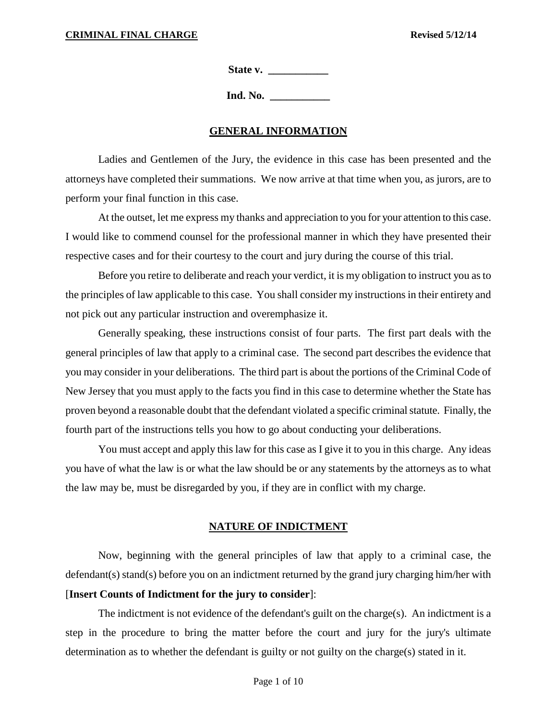**State v. \_\_\_\_\_\_\_\_\_\_\_**

**Ind. No.** 

#### **GENERAL INFORMATION**

Ladies and Gentlemen of the Jury, the evidence in this case has been presented and the attorneys have completed their summations. We now arrive at that time when you, as jurors, are to perform your final function in this case.

At the outset, let me express my thanks and appreciation to you for your attention to this case. I would like to commend counsel for the professional manner in which they have presented their respective cases and for their courtesy to the court and jury during the course of this trial.

Before you retire to deliberate and reach your verdict, it is my obligation to instruct you as to the principles of law applicable to this case. You shall consider my instructions in their entirety and not pick out any particular instruction and overemphasize it.

Generally speaking, these instructions consist of four parts. The first part deals with the general principles of law that apply to a criminal case. The second part describes the evidence that you may consider in your deliberations. The third part is about the portions of the Criminal Code of New Jersey that you must apply to the facts you find in this case to determine whether the State has proven beyond a reasonable doubt that the defendant violated a specific criminal statute. Finally, the fourth part of the instructions tells you how to go about conducting your deliberations.

You must accept and apply this law for this case as I give it to you in this charge. Any ideas you have of what the law is or what the law should be or any statements by the attorneys as to what the law may be, must be disregarded by you, if they are in conflict with my charge.

### **NATURE OF INDICTMENT**

Now, beginning with the general principles of law that apply to a criminal case, the defendant(s) stand(s) before you on an indictment returned by the grand jury charging him/her with [**Insert Counts of Indictment for the jury to consider**]:

The indictment is not evidence of the defendant's guilt on the charge(s). An indictment is a step in the procedure to bring the matter before the court and jury for the jury's ultimate determination as to whether the defendant is guilty or not guilty on the charge(s) stated in it.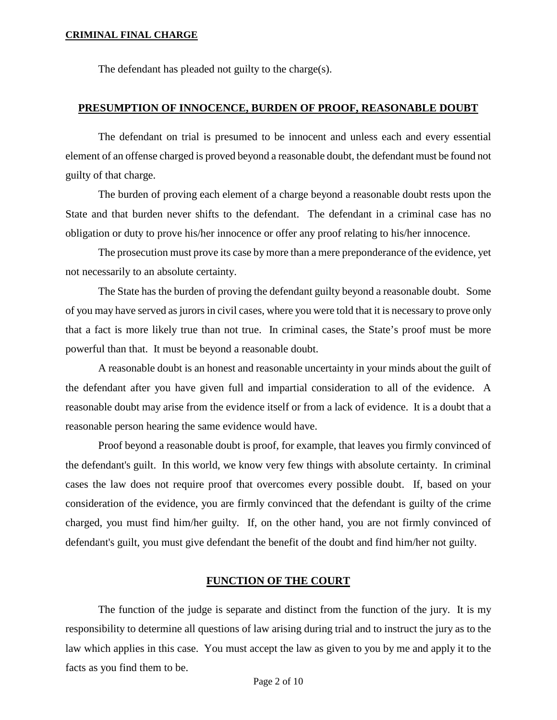The defendant has pleaded not guilty to the charge(s).

### **PRESUMPTION OF INNOCENCE, BURDEN OF PROOF, REASONABLE DOUBT**

The defendant on trial is presumed to be innocent and unless each and every essential element of an offense charged is proved beyond a reasonable doubt, the defendant must be found not guilty of that charge.

The burden of proving each element of a charge beyond a reasonable doubt rests upon the State and that burden never shifts to the defendant. The defendant in a criminal case has no obligation or duty to prove his/her innocence or offer any proof relating to his/her innocence.

The prosecution must prove its case by more than a mere preponderance of the evidence, yet not necessarily to an absolute certainty.

The State has the burden of proving the defendant guilty beyond a reasonable doubt. Some of you may have served as jurors in civil cases, where you were told that it is necessary to prove only that a fact is more likely true than not true. In criminal cases, the State's proof must be more powerful than that. It must be beyond a reasonable doubt.

A reasonable doubt is an honest and reasonable uncertainty in your minds about the guilt of the defendant after you have given full and impartial consideration to all of the evidence. A reasonable doubt may arise from the evidence itself or from a lack of evidence. It is a doubt that a reasonable person hearing the same evidence would have.

Proof beyond a reasonable doubt is proof, for example, that leaves you firmly convinced of the defendant's guilt. In this world, we know very few things with absolute certainty. In criminal cases the law does not require proof that overcomes every possible doubt. If, based on your consideration of the evidence, you are firmly convinced that the defendant is guilty of the crime charged, you must find him/her guilty. If, on the other hand, you are not firmly convinced of defendant's guilt, you must give defendant the benefit of the doubt and find him/her not guilty.

# **FUNCTION OF THE COURT**

The function of the judge is separate and distinct from the function of the jury. It is my responsibility to determine all questions of law arising during trial and to instruct the jury as to the law which applies in this case. You must accept the law as given to you by me and apply it to the facts as you find them to be.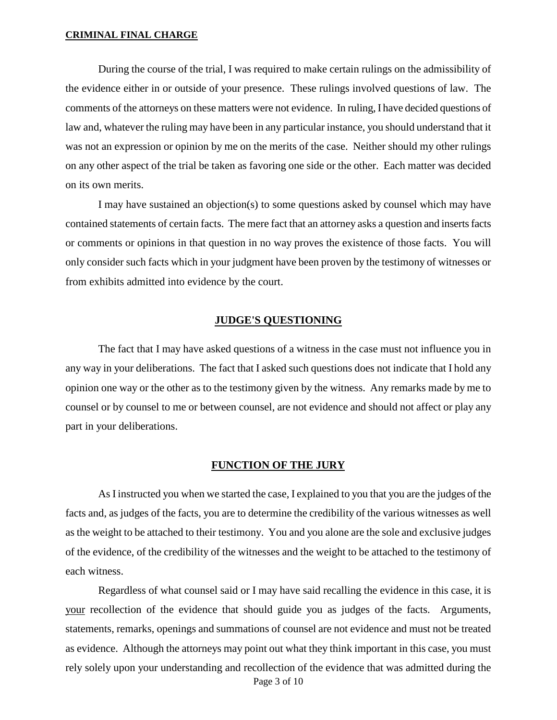During the course of the trial, I was required to make certain rulings on the admissibility of the evidence either in or outside of your presence. These rulings involved questions of law. The comments of the attorneys on these matters were not evidence. In ruling, I have decided questions of law and, whatever the ruling may have been in any particular instance, you should understand that it was not an expression or opinion by me on the merits of the case. Neither should my other rulings on any other aspect of the trial be taken as favoring one side or the other. Each matter was decided on its own merits.

I may have sustained an objection(s) to some questions asked by counsel which may have contained statements of certain facts. The mere fact that an attorney asks a question and inserts facts or comments or opinions in that question in no way proves the existence of those facts. You will only consider such facts which in your judgment have been proven by the testimony of witnesses or from exhibits admitted into evidence by the court.

### **JUDGE'S QUESTIONING**

The fact that I may have asked questions of a witness in the case must not influence you in any way in your deliberations. The fact that I asked such questions does not indicate that I hold any opinion one way or the other as to the testimony given by the witness. Any remarks made by me to counsel or by counsel to me or between counsel, are not evidence and should not affect or play any part in your deliberations.

#### **FUNCTION OF THE JURY**

As I instructed you when we started the case, I explained to you that you are the judges of the facts and, as judges of the facts, you are to determine the credibility of the various witnesses as well as the weight to be attached to their testimony. You and you alone are the sole and exclusive judges of the evidence, of the credibility of the witnesses and the weight to be attached to the testimony of each witness.

Page 3 of 10 Regardless of what counsel said or I may have said recalling the evidence in this case, it is your recollection of the evidence that should guide you as judges of the facts. Arguments, statements, remarks, openings and summations of counsel are not evidence and must not be treated as evidence. Although the attorneys may point out what they think important in this case, you must rely solely upon your understanding and recollection of the evidence that was admitted during the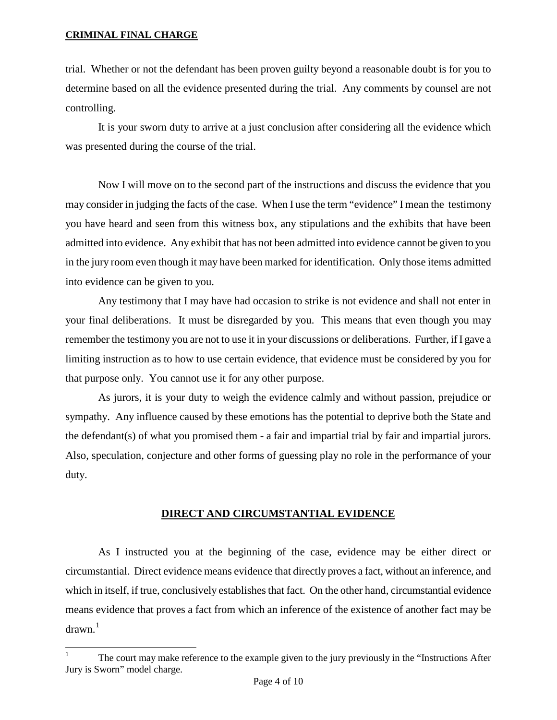j

trial. Whether or not the defendant has been proven guilty beyond a reasonable doubt is for you to determine based on all the evidence presented during the trial. Any comments by counsel are not controlling.

It is your sworn duty to arrive at a just conclusion after considering all the evidence which was presented during the course of the trial.

Now I will move on to the second part of the instructions and discuss the evidence that you may consider in judging the facts of the case. When I use the term "evidence" I mean the testimony you have heard and seen from this witness box, any stipulations and the exhibits that have been admitted into evidence. Any exhibit that has not been admitted into evidence cannot be given to you in the jury room even though it may have been marked for identification. Only those items admitted into evidence can be given to you.

Any testimony that I may have had occasion to strike is not evidence and shall not enter in your final deliberations. It must be disregarded by you. This means that even though you may remember the testimony you are not to use it in your discussions or deliberations. Further, if I gave a limiting instruction as to how to use certain evidence, that evidence must be considered by you for that purpose only. You cannot use it for any other purpose.

As jurors, it is your duty to weigh the evidence calmly and without passion, prejudice or sympathy. Any influence caused by these emotions has the potential to deprive both the State and the defendant(s) of what you promised them - a fair and impartial trial by fair and impartial jurors. Also, speculation, conjecture and other forms of guessing play no role in the performance of your duty.

# **DIRECT AND CIRCUMSTANTIAL EVIDENCE**

As I instructed you at the beginning of the case, evidence may be either direct or circumstantial. Direct evidence means evidence that directly proves a fact, without an inference, and which in itself, if true, conclusively establishes that fact. On the other hand, circumstantial evidence means evidence that proves a fact from which an inference of the existence of another fact may be  $d$ rawn.<sup>[1](#page-9-0)</sup>

<span id="page-3-0"></span><sup>1</sup> The court may make reference to the example given to the jury previously in the "Instructions After Jury is Sworn" model charge.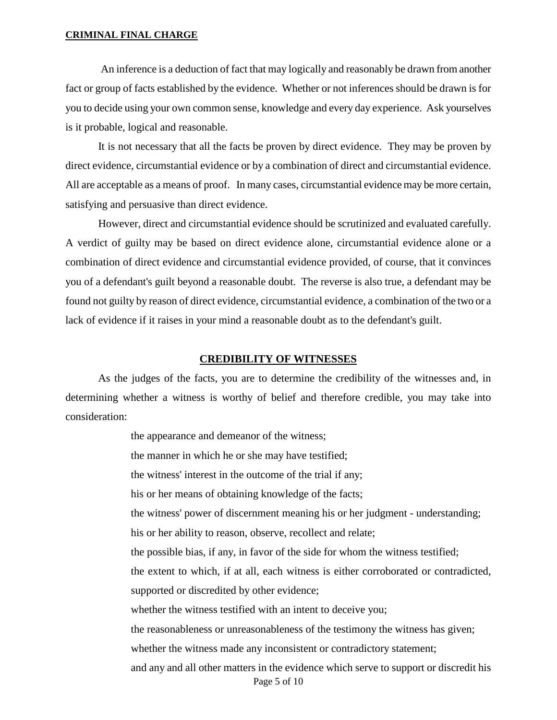An inference is a deduction of fact that may logically and reasonably be drawn from another fact or group of facts established by the evidence. Whether or not inferences should be drawn is for you to decide using your own common sense, knowledge and every day experience. Ask yourselves is it probable, logical and reasonable.

It is not necessary that all the facts be proven by direct evidence. They may be proven by direct evidence, circumstantial evidence or by a combination of direct and circumstantial evidence. All are acceptable as a means of proof. In many cases, circumstantial evidence may be more certain, satisfying and persuasive than direct evidence.

However, direct and circumstantial evidence should be scrutinized and evaluated carefully. A verdict of guilty may be based on direct evidence alone, circumstantial evidence alone or a combination of direct evidence and circumstantial evidence provided, of course, that it convinces you of a defendant's guilt beyond a reasonable doubt. The reverse is also true, a defendant may be found not guilty by reason of direct evidence, circumstantial evidence, a combination of the two or a lack of evidence if it raises in your mind a reasonable doubt as to the defendant's guilt.

### **CREDIBILITY OF WITNESSES**

As the judges of the facts, you are to determine the credibility of the witnesses and, in determining whether a witness is worthy of belief and therefore credible, you may take into consideration:

> Page 5 of 10 the appearance and demeanor of the witness; the manner in which he or she may have testified; the witness' interest in the outcome of the trial if any; his or her means of obtaining knowledge of the facts; the witness' power of discernment meaning his or her judgment - understanding; his or her ability to reason, observe, recollect and relate; the possible bias, if any, in favor of the side for whom the witness testified; the extent to which, if at all, each witness is either corroborated or contradicted, supported or discredited by other evidence; whether the witness testified with an intent to deceive you; the reasonableness or unreasonableness of the testimony the witness has given; whether the witness made any inconsistent or contradictory statement; and any and all other matters in the evidence which serve to support or discredit his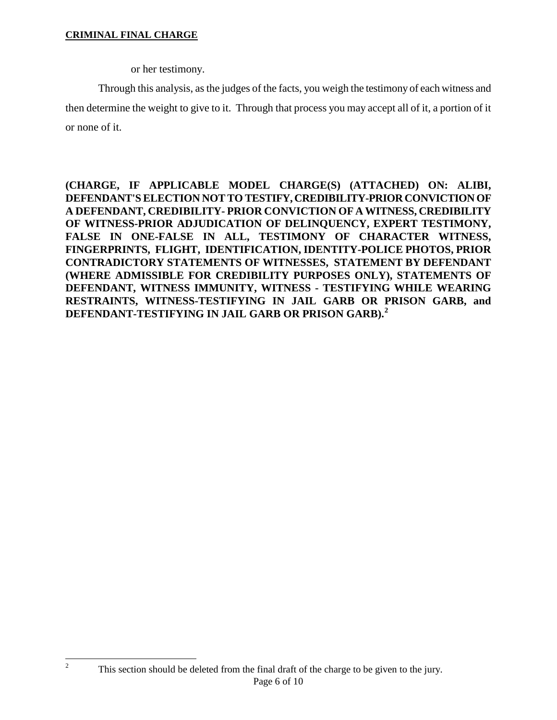<span id="page-5-0"></span> $\boldsymbol{2}$ 

or her testimony.

Through this analysis, as the judges of the facts, you weigh the testimony of each witness and then determine the weight to give to it. Through that process you may accept all of it, a portion of it or none of it.

**(CHARGE, IF APPLICABLE MODEL CHARGE(S) (ATTACHED) ON: ALIBI, DEFENDANT'S ELECTION NOT TO TESTIFY, CREDIBILITY-PRIOR CONVICTION OF A DEFENDANT, CREDIBILITY- PRIOR CONVICTION OF A WITNESS, CREDIBILITY OF WITNESS-PRIOR ADJUDICATION OF DELINQUENCY, EXPERT TESTIMONY, FALSE IN ONE-FALSE IN ALL, TESTIMONY OF CHARACTER WITNESS, FINGERPRINTS, FLIGHT, IDENTIFICATION, IDENTITY-POLICE PHOTOS, PRIOR CONTRADICTORY STATEMENTS OF WITNESSES, STATEMENT BY DEFENDANT (WHERE ADMISSIBLE FOR CREDIBILITY PURPOSES ONLY), STATEMENTS OF DEFENDANT, WITNESS IMMUNITY, WITNESS - TESTIFYING WHILE WEARING RESTRAINTS, WITNESS-TESTIFYING IN JAIL GARB OR PRISON GARB, and DEFENDANT-TESTIFYING IN JAIL GARB OR PRISON GARB). [2](#page-3-0)**

Page 6 of 10 This section should be deleted from the final draft of the charge to be given to the jury.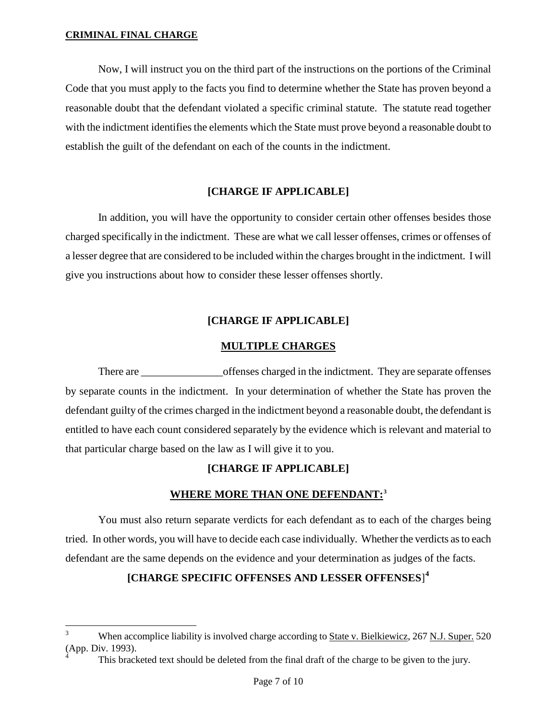-

Now, I will instruct you on the third part of the instructions on the portions of the Criminal Code that you must apply to the facts you find to determine whether the State has proven beyond a reasonable doubt that the defendant violated a specific criminal statute. The statute read together with the indictment identifies the elements which the State must prove beyond a reasonable doubt to establish the guilt of the defendant on each of the counts in the indictment.

# **[CHARGE IF APPLICABLE]**

In addition, you will have the opportunity to consider certain other offenses besides those charged specifically in the indictment. These are what we call lesser offenses, crimes or offenses of a lesser degree that are considered to be included within the charges brought in the indictment. I will give you instructions about how to consider these lesser offenses shortly.

# **[CHARGE IF APPLICABLE]**

# **MULTIPLE CHARGES**

There are  $\blacksquare$  offenses charged in the indictment. They are separate offenses by separate counts in the indictment. In your determination of whether the State has proven the defendant guilty of the crimes charged in the indictment beyond a reasonable doubt, the defendant is entitled to have each count considered separately by the evidence which is relevant and material to that particular charge based on the law as I will give it to you.

# **[CHARGE IF APPLICABLE]**

# **WHERE MORE THAN ONE DEFENDANT:[3](#page-5-0)**

You must also return separate verdicts for each defendant as to each of the charges being tried. In other words, you will have to decide each case individually. Whether the verdicts as to each defendant are the same depends on the evidence and your determination as judges of the facts.

# **[CHARGE SPECIFIC OFFENSES AND LESSER OFFENSES**] **[4](#page-6-0)**

<span id="page-6-1"></span><sup>3</sup> When accomplice liability is involved charge according to State v. Bielkiewicz, 267 N.J. Super. 520 (App. Div. 1993).

<span id="page-6-0"></span>This bracketed text should be deleted from the final draft of the charge to be given to the jury.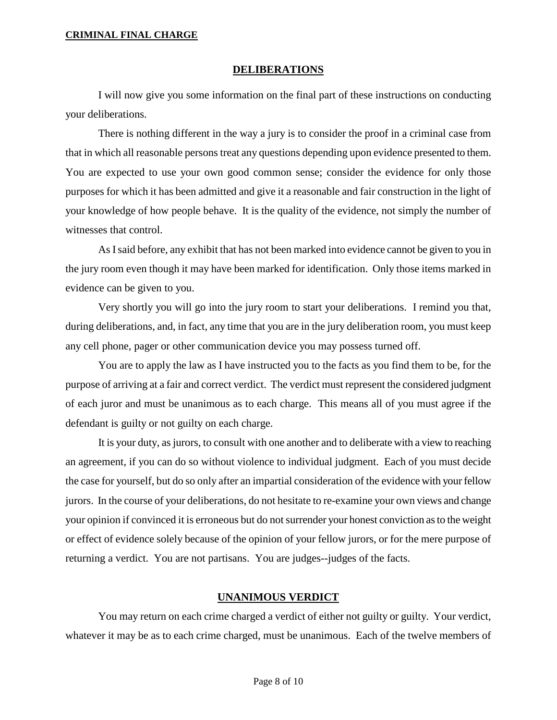### **DELIBERATIONS**

I will now give you some information on the final part of these instructions on conducting your deliberations.

There is nothing different in the way a jury is to consider the proof in a criminal case from that in which all reasonable persons treat any questions depending upon evidence presented to them. You are expected to use your own good common sense; consider the evidence for only those purposes for which it has been admitted and give it a reasonable and fair construction in the light of your knowledge of how people behave. It is the quality of the evidence, not simply the number of witnesses that control.

As I said before, any exhibit that has not been marked into evidence cannot be given to you in the jury room even though it may have been marked for identification. Only those items marked in evidence can be given to you.

Very shortly you will go into the jury room to start your deliberations. I remind you that, during deliberations, and, in fact, any time that you are in the jury deliberation room, you must keep any cell phone, pager or other communication device you may possess turned off.

You are to apply the law as I have instructed you to the facts as you find them to be, for the purpose of arriving at a fair and correct verdict. The verdict must represent the considered judgment of each juror and must be unanimous as to each charge. This means all of you must agree if the defendant is guilty or not guilty on each charge.

It is your duty, as jurors, to consult with one another and to deliberate with a view to reaching an agreement, if you can do so without violence to individual judgment. Each of you must decide the case for yourself, but do so only after an impartial consideration of the evidence with your fellow jurors. In the course of your deliberations, do not hesitate to re-examine your own views and change your opinion if convinced it is erroneous but do not surrender your honest conviction as to the weight or effect of evidence solely because of the opinion of your fellow jurors, or for the mere purpose of returning a verdict. You are not partisans. You are judges--judges of the facts.

# **UNANIMOUS VERDICT**

You may return on each crime charged a verdict of either not guilty or guilty. Your verdict, whatever it may be as to each crime charged, must be unanimous. Each of the twelve members of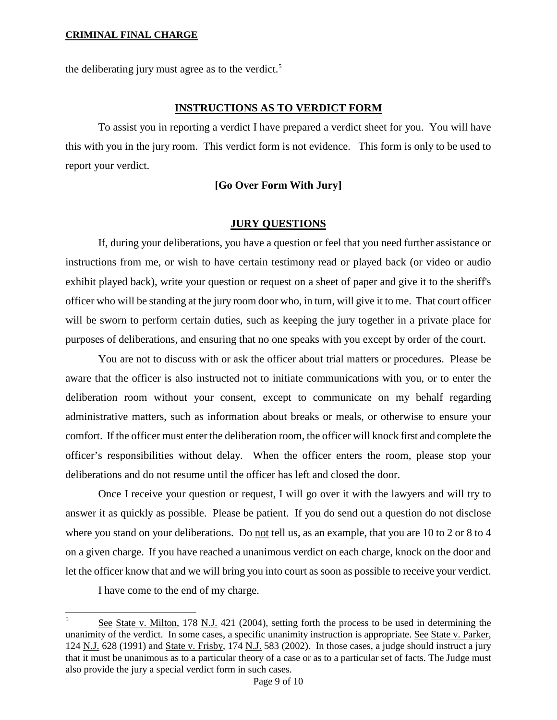the deliberating jury must agree as to the verdict.<sup>5</sup>

### **INSTRUCTIONS AS TO VERDICT FORM**

To assist you in reporting a verdict I have prepared a verdict sheet for you. You will have this with you in the jury room. This verdict form is not evidence. This form is only to be used to report your verdict.

# **[Go Over Form With Jury]**

# **JURY QUESTIONS**

If, during your deliberations, you have a question or feel that you need further assistance or instructions from me, or wish to have certain testimony read or played back (or video or audio exhibit played back), write your question or request on a sheet of paper and give it to the sheriff's officer who will be standing at the jury room door who, in turn, will give it to me. That court officer will be sworn to perform certain duties, such as keeping the jury together in a private place for purposes of deliberations, and ensuring that no one speaks with you except by order of the court.

You are not to discuss with or ask the officer about trial matters or procedures. Please be aware that the officer is also instructed not to initiate communications with you, or to enter the deliberation room without your consent, except to communicate on my behalf regarding administrative matters, such as information about breaks or meals, or otherwise to ensure your comfort. If the officer must enter the deliberation room, the officer will knock first and complete the officer's responsibilities without delay. When the officer enters the room, please stop your deliberations and do not resume until the officer has left and closed the door.

Once I receive your question or request, I will go over it with the lawyers and will try to answer it as quickly as possible. Please be patient. If you do send out a question do not disclose where you stand on your deliberations. Do not tell us, as an example, that you are 10 to 2 or 8 to 4 on a given charge. If you have reached a unanimous verdict on each charge, knock on the door and let the officer know that and we will bring you into court as soon as possible to receive your verdict.

I have come to the end of my charge.

-

See State v. Milton, 178 N.J. 421 (2004), setting forth the process to be used in determining the unanimity of the verdict. In some cases, a specific unanimity instruction is appropriate. See State v. Parker, 124 N.J. 628 (1991) and State v. Frisby, 174 N.J. 583 (2002). In those cases, a judge should instruct a jury that it must be unanimous as to a particular theory of a case or as to a particular set of facts. The Judge must also provide the jury a special verdict form in such cases.